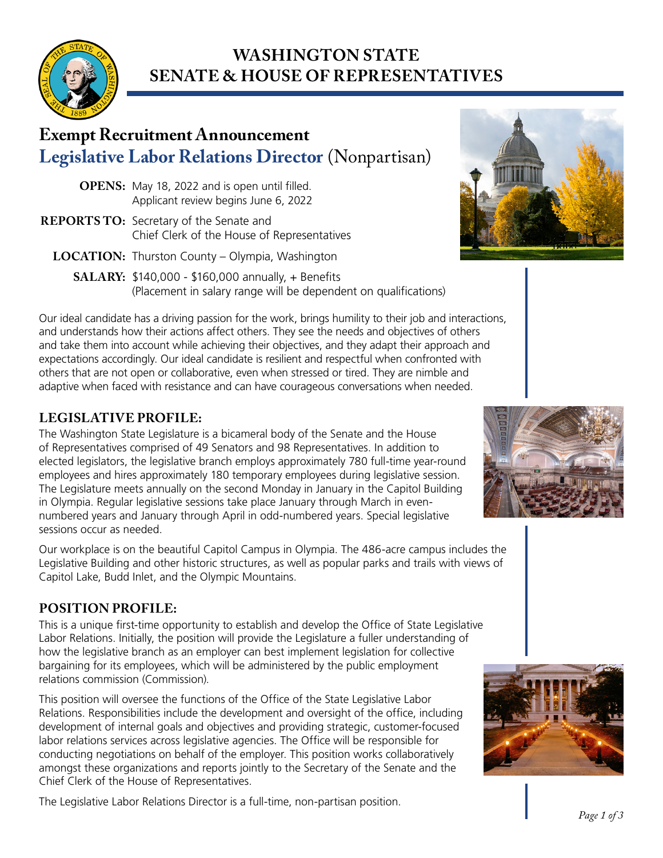

# **WASHINGTON STATE SENATE & HOUSE OF REPRESENTATIVES**

# **Exempt Recruitment Announcement Legislative Labor Relations Director** (Nonpartisan)

- **OPENS:** May 18, 2022 and is open until filled. Applicant review begins June 6, 2022
- **REPORTS TO:** Secretary of the Senate and Chief Clerk of the House of Representatives
	- **LOCATION:** Thurston County Olympia, Washington
		- **SALARY:** \$140,000 \$160,000 annually, + Benefits (Placement in salary range will be dependent on qualifications)

Our ideal candidate has a driving passion for the work, brings humility to their job and interactions, and understands how their actions affect others. They see the needs and objectives of others and take them into account while achieving their objectives, and they adapt their approach and expectations accordingly. Our ideal candidate is resilient and respectful when confronted with others that are not open or collaborative, even when stressed or tired. They are nimble and adaptive when faced with resistance and can have courageous conversations when needed.

# **LEGISLATIVE PROFILE:**

The Washington State Legislature is a bicameral body of the Senate and the House of Representatives comprised of 49 Senators and 98 Representatives. In addition to elected legislators, the legislative branch employs approximately 780 full-time year-round employees and hires approximately 180 temporary employees during legislative session. The Legislature meets annually on the second Monday in January in the Capitol Building in Olympia. Regular legislative sessions take place January through March in evennumbered years and January through April in odd-numbered years. Special legislative sessions occur as needed.

Our workplace is on the beautiful Capitol Campus in Olympia. The 486-acre campus includes the Legislative Building and other historic structures, as well as popular parks and trails with views of Capitol Lake, Budd Inlet, and the Olympic Mountains.

# **POSITION PROFILE:**

This is a unique first-time opportunity to establish and develop the Office of State Legislative Labor Relations. Initially, the position will provide the Legislature a fuller understanding of how the legislative branch as an employer can best implement legislation for collective bargaining for its employees, which will be administered by the public employment relations commission (Commission).

This position will oversee the functions of the Office of the State Legislative Labor Relations. Responsibilities include the development and oversight of the office, including development of internal goals and objectives and providing strategic, customer-focused labor relations services across legislative agencies. The Office will be responsible for conducting negotiations on behalf of the employer. This position works collaboratively amongst these organizations and reports jointly to the Secretary of the Senate and the Chief Clerk of the House of Representatives.

The Legislative Labor Relations Director is a full-time, non-partisan position.





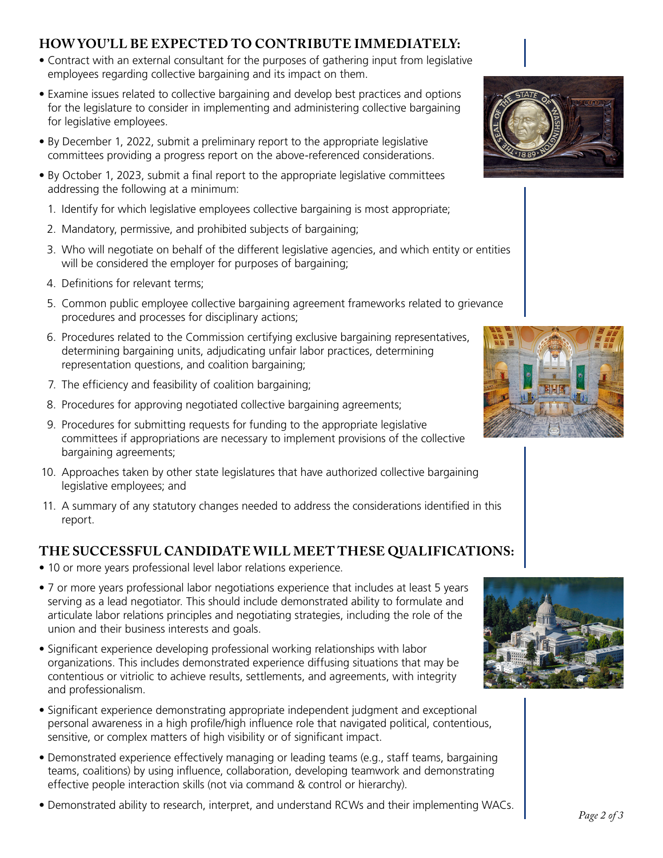### **HOW YOU'LL BE EXPECTED TO CONTRIBUTE IMMEDIATELY:**

- Contract with an external consultant for the purposes of gathering input from legislative employees regarding collective bargaining and its impact on them.
- Examine issues related to collective bargaining and develop best practices and options for the legislature to consider in implementing and administering collective bargaining for legislative employees.
- By December 1, 2022, submit a preliminary report to the appropriate legislative committees providing a progress report on the above-referenced considerations.
- By October 1, 2023, submit a final report to the appropriate legislative committees addressing the following at a minimum:
	- 1. Identify for which legislative employees collective bargaining is most appropriate;
	- 2. Mandatory, permissive, and prohibited subjects of bargaining;
	- 3. Who will negotiate on behalf of the different legislative agencies, and which entity or entities will be considered the employer for purposes of bargaining;
	- 4. Definitions for relevant terms;
	- 5. Common public employee collective bargaining agreement frameworks related to grievance procedures and processes for disciplinary actions;
	- 6. Procedures related to the Commission certifying exclusive bargaining representatives, determining bargaining units, adjudicating unfair labor practices, determining representation questions, and coalition bargaining;
	- 7. The efficiency and feasibility of coalition bargaining;
	- 8. Procedures for approving negotiated collective bargaining agreements;
	- 9. Procedures for submitting requests for funding to the appropriate legislative committees if appropriations are necessary to implement provisions of the collective bargaining agreements;
- 10. Approaches taken by other state legislatures that have authorized collective bargaining legislative employees; and
- 11. A summary of any statutory changes needed to address the considerations identified in this report.

## **THE SUCCESSFUL CANDIDATE WILL MEET THESE QUALIFICATIONS:**

- 10 or more years professional level labor relations experience.
- 7 or more years professional labor negotiations experience that includes at least 5 years serving as a lead negotiator. This should include demonstrated ability to formulate and articulate labor relations principles and negotiating strategies, including the role of the union and their business interests and goals.
- Significant experience developing professional working relationships with labor organizations. This includes demonstrated experience diffusing situations that may be contentious or vitriolic to achieve results, settlements, and agreements, with integrity and professionalism.
- Significant experience demonstrating appropriate independent judgment and exceptional personal awareness in a high profile/high influence role that navigated political, contentious, sensitive, or complex matters of high visibility or of significant impact.
- Demonstrated experience effectively managing or leading teams (e.g., staff teams, bargaining teams, coalitions) by using influence, collaboration, developing teamwork and demonstrating effective people interaction skills (not via command & control or hierarchy).
- Demonstrated ability to research, interpret, and understand RCWs and their implementing WACs.